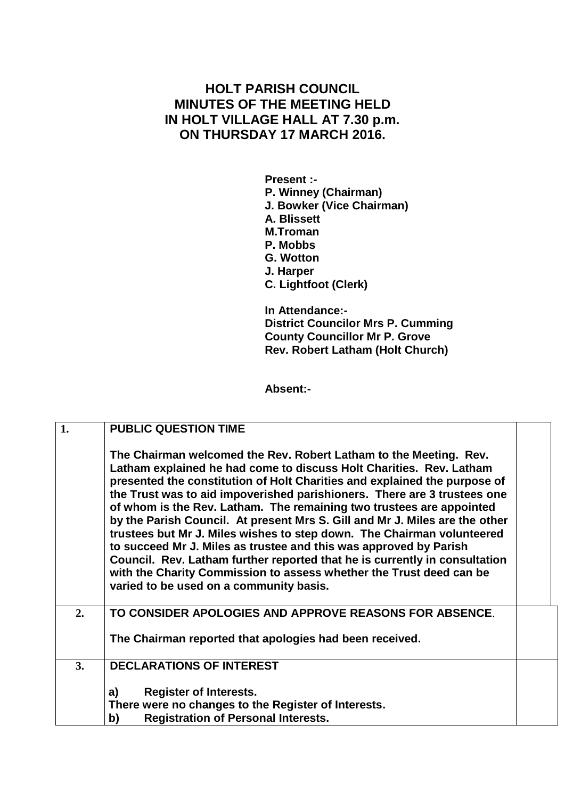## **HOLT PARISH COUNCIL MINUTES OF THE MEETING HELD IN HOLT VILLAGE HALL AT 7.30 p.m. ON THURSDAY 17 MARCH 2016.**

**Present :- P. Winney (Chairman) J. Bowker (Vice Chairman) A. Blissett M.Troman P. Mobbs G. Wotton J. Harper C. Lightfoot (Clerk)**

**In Attendance:- District Councilor Mrs P. Cumming County Councillor Mr P. Grove Rev. Robert Latham (Holt Church)**

**Absent:-**

| 1. | <b>PUBLIC QUESTION TIME</b>                                                                                                                                                                                                                                                                                                                                                                                                                                                                                                                                                                                                                                                                                                                                                                             |  |
|----|---------------------------------------------------------------------------------------------------------------------------------------------------------------------------------------------------------------------------------------------------------------------------------------------------------------------------------------------------------------------------------------------------------------------------------------------------------------------------------------------------------------------------------------------------------------------------------------------------------------------------------------------------------------------------------------------------------------------------------------------------------------------------------------------------------|--|
|    | The Chairman welcomed the Rev. Robert Latham to the Meeting. Rev.<br>Latham explained he had come to discuss Holt Charities. Rev. Latham<br>presented the constitution of Holt Charities and explained the purpose of<br>the Trust was to aid impoverished parishioners. There are 3 trustees one<br>of whom is the Rev. Latham. The remaining two trustees are appointed<br>by the Parish Council. At present Mrs S. Gill and Mr J. Miles are the other<br>trustees but Mr J. Miles wishes to step down. The Chairman volunteered<br>to succeed Mr J. Miles as trustee and this was approved by Parish<br>Council. Rev. Latham further reported that he is currently in consultation<br>with the Charity Commission to assess whether the Trust deed can be<br>varied to be used on a community basis. |  |
| 2. | TO CONSIDER APOLOGIES AND APPROVE REASONS FOR ABSENCE.                                                                                                                                                                                                                                                                                                                                                                                                                                                                                                                                                                                                                                                                                                                                                  |  |
|    | The Chairman reported that apologies had been received.                                                                                                                                                                                                                                                                                                                                                                                                                                                                                                                                                                                                                                                                                                                                                 |  |
| 3. | <b>DECLARATIONS OF INTEREST</b>                                                                                                                                                                                                                                                                                                                                                                                                                                                                                                                                                                                                                                                                                                                                                                         |  |
|    | <b>Register of Interests.</b><br>a)                                                                                                                                                                                                                                                                                                                                                                                                                                                                                                                                                                                                                                                                                                                                                                     |  |
|    | There were no changes to the Register of Interests.                                                                                                                                                                                                                                                                                                                                                                                                                                                                                                                                                                                                                                                                                                                                                     |  |
|    | <b>Registration of Personal Interests.</b><br>b)                                                                                                                                                                                                                                                                                                                                                                                                                                                                                                                                                                                                                                                                                                                                                        |  |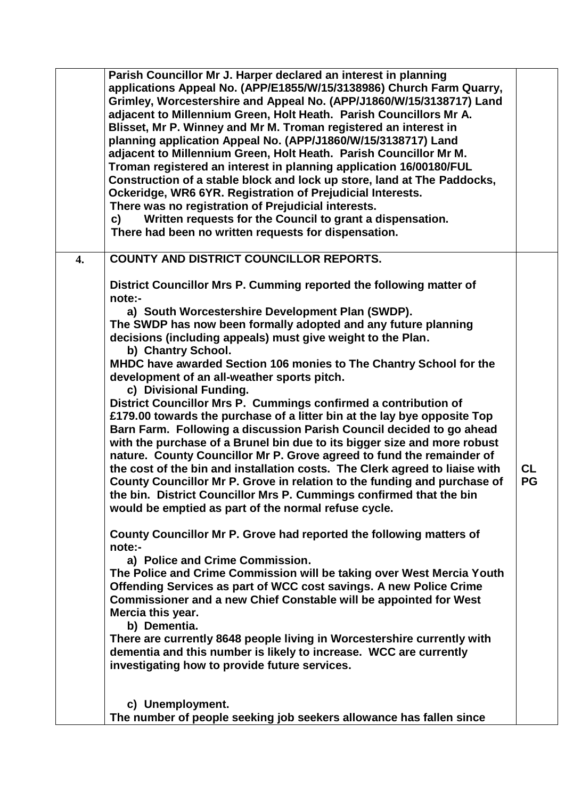|                  | Parish Councillor Mr J. Harper declared an interest in planning<br>applications Appeal No. (APP/E1855/W/15/3138986) Church Farm Quarry,<br>Grimley, Worcestershire and Appeal No. (APP/J1860/W/15/3138717) Land<br>adjacent to Millennium Green, Holt Heath. Parish Councillors Mr A.<br>Blisset, Mr P. Winney and Mr M. Troman registered an interest in<br>planning application Appeal No. (APP/J1860/W/15/3138717) Land<br>adjacent to Millennium Green, Holt Heath. Parish Councillor Mr M.<br>Troman registered an interest in planning application 16/00180/FUL<br>Construction of a stable block and lock up store, land at The Paddocks,<br>Ockeridge, WR6 6YR. Registration of Prejudicial Interests.<br>There was no registration of Prejudicial interests.<br>Written requests for the Council to grant a dispensation.<br>C)<br>There had been no written requests for dispensation.                                                                                                                                                                                                                                                                                                                                                                                                                                                                                                                                                                                                                                                                                                                                                                                                                                                                                       |                        |
|------------------|----------------------------------------------------------------------------------------------------------------------------------------------------------------------------------------------------------------------------------------------------------------------------------------------------------------------------------------------------------------------------------------------------------------------------------------------------------------------------------------------------------------------------------------------------------------------------------------------------------------------------------------------------------------------------------------------------------------------------------------------------------------------------------------------------------------------------------------------------------------------------------------------------------------------------------------------------------------------------------------------------------------------------------------------------------------------------------------------------------------------------------------------------------------------------------------------------------------------------------------------------------------------------------------------------------------------------------------------------------------------------------------------------------------------------------------------------------------------------------------------------------------------------------------------------------------------------------------------------------------------------------------------------------------------------------------------------------------------------------------------------------------------------------------|------------------------|
| $\overline{4}$ . | <b>COUNTY AND DISTRICT COUNCILLOR REPORTS.</b>                                                                                                                                                                                                                                                                                                                                                                                                                                                                                                                                                                                                                                                                                                                                                                                                                                                                                                                                                                                                                                                                                                                                                                                                                                                                                                                                                                                                                                                                                                                                                                                                                                                                                                                                         |                        |
|                  | District Councillor Mrs P. Cumming reported the following matter of<br>note:-<br>a) South Worcestershire Development Plan (SWDP).<br>The SWDP has now been formally adopted and any future planning<br>decisions (including appeals) must give weight to the Plan.<br>b) Chantry School.<br>MHDC have awarded Section 106 monies to The Chantry School for the<br>development of an all-weather sports pitch.<br>c) Divisional Funding.<br>District Councillor Mrs P. Cummings confirmed a contribution of<br>£179.00 towards the purchase of a litter bin at the lay bye opposite Top<br>Barn Farm. Following a discussion Parish Council decided to go ahead<br>with the purchase of a Brunel bin due to its bigger size and more robust<br>nature. County Councillor Mr P. Grove agreed to fund the remainder of<br>the cost of the bin and installation costs. The Clerk agreed to liaise with<br>County Councillor Mr P. Grove in relation to the funding and purchase of<br>the bin. District Councillor Mrs P. Cummings confirmed that the bin<br>would be emptied as part of the normal refuse cycle.<br>County Councillor Mr P. Grove had reported the following matters of<br>note:-<br>a) Police and Crime Commission.<br>The Police and Crime Commission will be taking over West Mercia Youth<br>Offending Services as part of WCC cost savings. A new Police Crime<br>Commissioner and a new Chief Constable will be appointed for West<br>Mercia this year.<br>b) Dementia.<br>There are currently 8648 people living in Worcestershire currently with<br>dementia and this number is likely to increase. WCC are currently<br>investigating how to provide future services.<br>c) Unemployment.<br>The number of people seeking job seekers allowance has fallen since | <b>CL</b><br><b>PG</b> |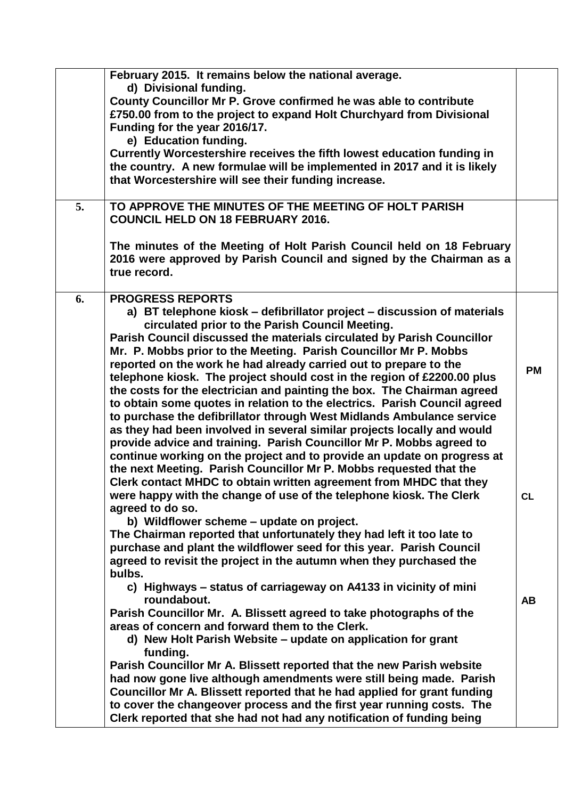|    | February 2015. It remains below the national average.<br>d) Divisional funding.<br>County Councillor Mr P. Grove confirmed he was able to contribute<br>£750.00 from to the project to expand Holt Churchyard from Divisional<br>Funding for the year 2016/17.<br>e) Education funding.<br>Currently Worcestershire receives the fifth lowest education funding in<br>the country. A new formulae will be implemented in 2017 and it is likely<br>that Worcestershire will see their funding increase.                                                                                                                                                                                                                                                                                                                                                                                                                                                                                                                                                                                                                                |                        |
|----|---------------------------------------------------------------------------------------------------------------------------------------------------------------------------------------------------------------------------------------------------------------------------------------------------------------------------------------------------------------------------------------------------------------------------------------------------------------------------------------------------------------------------------------------------------------------------------------------------------------------------------------------------------------------------------------------------------------------------------------------------------------------------------------------------------------------------------------------------------------------------------------------------------------------------------------------------------------------------------------------------------------------------------------------------------------------------------------------------------------------------------------|------------------------|
| 5. | TO APPROVE THE MINUTES OF THE MEETING OF HOLT PARISH<br><b>COUNCIL HELD ON 18 FEBRUARY 2016.</b><br>The minutes of the Meeting of Holt Parish Council held on 18 February<br>2016 were approved by Parish Council and signed by the Chairman as a<br>true record.                                                                                                                                                                                                                                                                                                                                                                                                                                                                                                                                                                                                                                                                                                                                                                                                                                                                     |                        |
| 6. | <b>PROGRESS REPORTS</b><br>a) BT telephone kiosk – defibrillator project – discussion of materials<br>circulated prior to the Parish Council Meeting.<br>Parish Council discussed the materials circulated by Parish Councillor<br>Mr. P. Mobbs prior to the Meeting. Parish Councillor Mr P. Mobbs<br>reported on the work he had already carried out to prepare to the<br>telephone kiosk. The project should cost in the region of £2200.00 plus<br>the costs for the electrician and painting the box. The Chairman agreed<br>to obtain some quotes in relation to the electrics. Parish Council agreed<br>to purchase the defibrillator through West Midlands Ambulance service<br>as they had been involved in several similar projects locally and would<br>provide advice and training. Parish Councillor Mr P. Mobbs agreed to<br>continue working on the project and to provide an update on progress at<br>the next Meeting. Parish Councillor Mr P. Mobbs requested that the<br>Clerk contact MHDC to obtain written agreement from MHDC that they<br>were happy with the change of use of the telephone kiosk. The Clerk | <b>PM</b><br><b>CL</b> |
|    | agreed to do so.<br>b) Wildflower scheme - update on project.<br>The Chairman reported that unfortunately they had left it too late to<br>purchase and plant the wildflower seed for this year. Parish Council<br>agreed to revisit the project in the autumn when they purchased the<br>bulbs.<br>c) Highways – status of carriageway on A4133 in vicinity of mini<br>roundabout.<br>Parish Councillor Mr. A. Blissett agreed to take photographs of the<br>areas of concern and forward them to the Clerk.<br>d) New Holt Parish Website – update on application for grant<br>funding.<br>Parish Councillor Mr A. Blissett reported that the new Parish website<br>had now gone live although amendments were still being made. Parish<br>Councillor Mr A. Blissett reported that he had applied for grant funding<br>to cover the changeover process and the first year running costs. The<br>Clerk reported that she had not had any notification of funding being                                                                                                                                                                | <b>AB</b>              |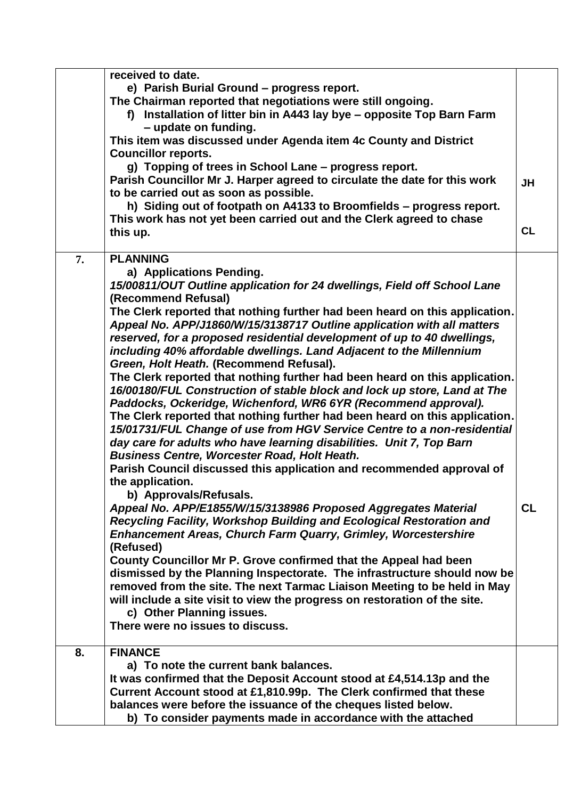|    | received to date.                                                                                                                                      |           |
|----|--------------------------------------------------------------------------------------------------------------------------------------------------------|-----------|
|    | e) Parish Burial Ground - progress report.                                                                                                             |           |
|    | The Chairman reported that negotiations were still ongoing.                                                                                            |           |
|    | f) Installation of litter bin in A443 lay bye - opposite Top Barn Farm                                                                                 |           |
|    | - update on funding.                                                                                                                                   |           |
|    | This item was discussed under Agenda item 4c County and District                                                                                       |           |
|    | <b>Councillor reports.</b>                                                                                                                             |           |
|    | g) Topping of trees in School Lane - progress report.                                                                                                  |           |
|    | Parish Councillor Mr J. Harper agreed to circulate the date for this work                                                                              | <b>JH</b> |
|    | to be carried out as soon as possible.                                                                                                                 |           |
|    | h) Siding out of footpath on A4133 to Broomfields - progress report.<br>This work has not yet been carried out and the Clerk agreed to chase           |           |
|    | this up.                                                                                                                                               | <b>CL</b> |
|    |                                                                                                                                                        |           |
| 7. | <b>PLANNING</b>                                                                                                                                        |           |
|    | a) Applications Pending.                                                                                                                               |           |
|    | 15/00811/OUT Outline application for 24 dwellings, Field off School Lane                                                                               |           |
|    | (Recommend Refusal)                                                                                                                                    |           |
|    | The Clerk reported that nothing further had been heard on this application.                                                                            |           |
|    | Appeal No. APP/J1860/W/15/3138717 Outline application with all matters                                                                                 |           |
|    | reserved, for a proposed residential development of up to 40 dwellings,                                                                                |           |
|    | including 40% affordable dwellings. Land Adjacent to the Millennium                                                                                    |           |
|    | Green, Holt Heath. (Recommend Refusal).                                                                                                                |           |
|    | The Clerk reported that nothing further had been heard on this application.                                                                            |           |
|    | 16/00180/FUL Construction of stable block and lock up store, Land at The                                                                               |           |
|    | Paddocks, Ockeridge, Wichenford, WR6 6YR (Recommend approval).                                                                                         |           |
|    | The Clerk reported that nothing further had been heard on this application.<br>15/01731/FUL Change of use from HGV Service Centre to a non-residential |           |
|    | day care for adults who have learning disabilities. Unit 7, Top Barn                                                                                   |           |
|    | <b>Business Centre, Worcester Road, Holt Heath.</b>                                                                                                    |           |
|    | Parish Council discussed this application and recommended approval of                                                                                  |           |
|    | the application.                                                                                                                                       |           |
|    | b) Approvals/Refusals.                                                                                                                                 |           |
|    | Appeal No. APP/E1855/W/15/3138986 Proposed Aggregates Material                                                                                         | CL        |
|    | Recycling Facility, Workshop Building and Ecological Restoration and                                                                                   |           |
|    | <b>Enhancement Areas, Church Farm Quarry, Grimley, Worcestershire</b>                                                                                  |           |
|    | (Refused)                                                                                                                                              |           |
|    | County Councillor Mr P. Grove confirmed that the Appeal had been                                                                                       |           |
|    | dismissed by the Planning Inspectorate. The infrastructure should now be                                                                               |           |
|    | removed from the site. The next Tarmac Liaison Meeting to be held in May                                                                               |           |
|    | will include a site visit to view the progress on restoration of the site.                                                                             |           |
|    | c) Other Planning issues.                                                                                                                              |           |
|    | There were no issues to discuss.                                                                                                                       |           |
| 8. | <b>FINANCE</b>                                                                                                                                         |           |
|    | a) To note the current bank balances.                                                                                                                  |           |
|    | It was confirmed that the Deposit Account stood at £4,514.13p and the                                                                                  |           |
|    | Current Account stood at £1,810.99p. The Clerk confirmed that these                                                                                    |           |
|    | balances were before the issuance of the cheques listed below.                                                                                         |           |
|    | b) To consider payments made in accordance with the attached                                                                                           |           |